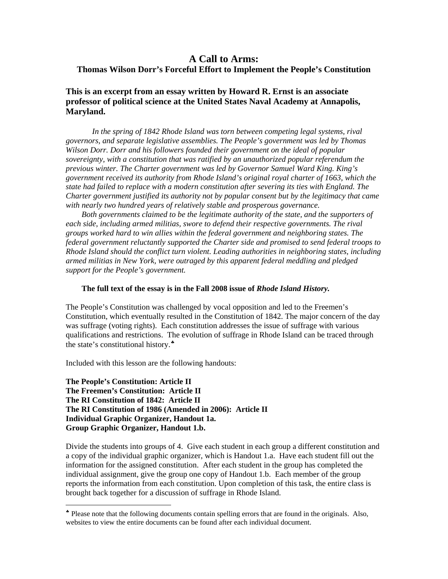#### **A Call to Arms: Thomas Wilson Dorr's Forceful Effort to Implement the People's Constitution**

**This is an excerpt from an essay written by Howard R. Ernst is an associate professor of political science at the United States Naval Academy at Annapolis, Maryland.** 

In the spring of 1842 Rhode Island was torn between competing legal systems, rival *governors, and separate legislative assemblies. The People's government was led by Thomas Wilson Dorr. Dorr and his followers founded their government on the ideal of popular sovereignty, with a constitution that was ratified by an unauthorized popular referendum the previous winter. The Charter government was led by Governor Samuel Ward King. King's government received its authority from Rhode Island's original royal charter of 1663, which the state had failed to replace with a modern constitution after severing its ties with England. The Charter government justified its authority not by popular consent but by the legitimacy that came with nearly two hundred years of relatively stable and prosperous governance.* 

*Both governments claimed to be the legitimate authority of the state, and the supporters of*  each side, including armed militias, swore to defend their respective governments. The rival *groups worked hard to win allies within the federal government and neighboring states. The federal government reluctantly supported the Charter side and promised to send federal troops to Rhode Island should the conflict turn violent. Leading authorities in neighboring states, including armed militias in New York, were outraged by this apparent federal meddling and pledged support for the People's government.* 

#### **The full text of the essay is in the Fall 2008 issue of** *Rhode Island History.*

The People's Constitution was challenged by vocal opposition and led to the Freemen's Constitution, which eventually resulted in the Constitution of 1842. The major concern of the day was suffrage (voting rights). Each constitution addresses the issue of suffrage with various qualifications and restrictions. The evolution of suffrage in Rhode Island can be traced through the state's constitutional history.  $*$ 

Included with this lesson are the following handouts:

 $\overline{a}$ 

**The People's Constitution: Article II The Freemen's Constitution: Article II The RI Constitution of 1842: Article II The RI Constitution of 1986 (Amended in 2006): Article II Individual Graphic Organizer, Handout 1a. Group Graphic Organizer, Handout 1.b.** 

Divide the students into groups of 4. Give each student in each group a different constitution and a copy of the individual graphic organizer, which is Handout 1.a. Have each student fill out the information for the assigned constitution. After each student in the group has completed the individual assignment, give the group one copy of Handout 1.b. Each member of the group reports the information from each constitution. Upon completion of this task, the entire class is brought back together for a discussion of suffrage in Rhode Island.

<span id="page-0-0"></span><sup>♣</sup> Please note that the following documents contain spelling errors that are found in the originals. Also, websites to view the entire documents can be found after each individual document.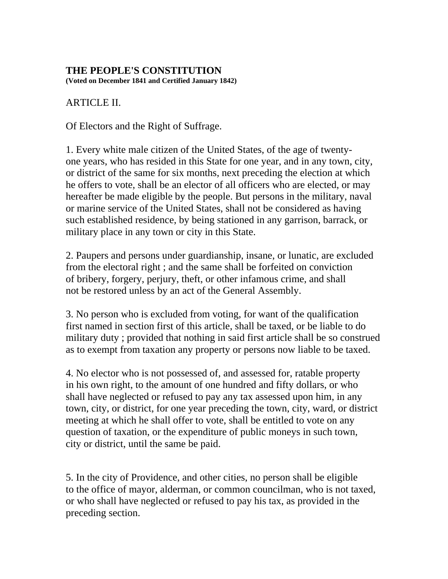#### **THE PEOPLE'S CONSTITUTION**

**(Voted on December 1841 and Certified January 1842)** 

### ARTICLE II.

Of Electors and the Right of Suffrage.

1. Every white male citizen of the United States, of the age of twentyone years, who has resided in this State for one year, and in any town, city, or district of the same for six months, next preceding the election at which he offers to vote, shall be an elector of all officers who are elected, or may hereafter be made eligible by the people. But persons in the military, naval or marine service of the United States, shall not be considered as having such established residence, by being stationed in any garrison, barrack, or military place in any town or city in this State.

2. Paupers and persons under guardianship, insane, or lunatic, are excluded from the electoral right ; and the same shall be forfeited on conviction of bribery, forgery, perjury, theft, or other infamous crime, and shall not be restored unless by an act of the General Assembly.

3. No person who is excluded from voting, for want of the qualification first named in section first of this article, shall be taxed, or be liable to do military duty ; provided that nothing in said first article shall be so construed as to exempt from taxation any property or persons now liable to be taxed.

4. No elector who is not possessed of, and assessed for, ratable property in his own right, to the amount of one hundred and fifty dollars, or who shall have neglected or refused to pay any tax assessed upon him, in any town, city, or district, for one year preceding the town, city, ward, or district meeting at which he shall offer to vote, shall be entitled to vote on any question of taxation, or the expenditure of public moneys in such town, city or district, until the same be paid.

5. In the city of Providence, and other cities, no person shall be eligible to the office of mayor, alderman, or common councilman, who is not taxed, or who shall have neglected or refused to pay his tax, as provided in the preceding section.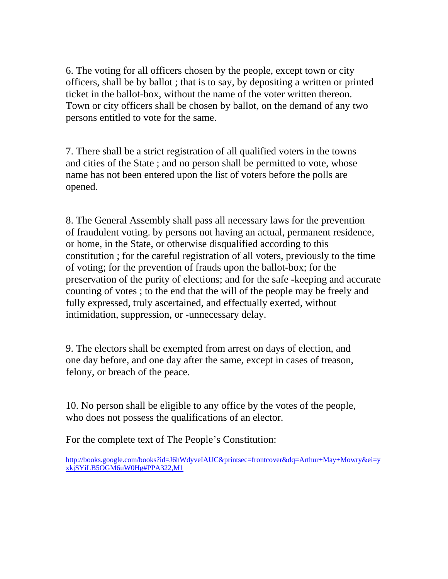6. The voting for all officers chosen by the people, except town or city officers, shall be by ballot ; that is to say, by depositing a written or printed ticket in the ballot-box, without the name of the voter written thereon. Town or city officers shall be chosen by ballot, on the demand of any two persons entitled to vote for the same.

7. There shall be a strict registration of all qualified voters in the towns and cities of the State ; and no person shall be permitted to vote, whose name has not been entered upon the list of voters before the polls are opened.

8. The General Assembly shall pass all necessary laws for the prevention of fraudulent voting. by persons not having an actual, permanent residence, or home, in the State, or otherwise disqualified according to this constitution ; for the careful registration of all voters, previously to the time of voting; for the prevention of frauds upon the ballot-box; for the preservation of the purity of elections; and for the safe -keeping and accurate counting of votes ; to the end that the will of the people may be freely and fully expressed, truly ascertained, and effectually exerted, without intimidation, suppression, or -unnecessary delay.

9. The electors shall be exempted from arrest on days of election, and one day before, and one day after the same, except in cases of treason, felony, or breach of the peace.

10. No person shall be eligible to any office by the votes of the people, who does not possess the qualifications of an elector.

For the complete text of The People's Constitution:

[http://books.google.com/books?id=J6hWdyveIAUC&printsec=frontcover&dq=Arthur+May+Mowry&ei=y](http://books.google.com/books?id=J6hWdyveIAUC&printsec=frontcover&dq=Arthur+May+Mowry&ei=yxkjSYiLB5OGM6uW0Hg#PPA322,M1) [xkjSYiLB5OGM6uW0Hg#PPA322,M1](http://books.google.com/books?id=J6hWdyveIAUC&printsec=frontcover&dq=Arthur+May+Mowry&ei=yxkjSYiLB5OGM6uW0Hg#PPA322,M1)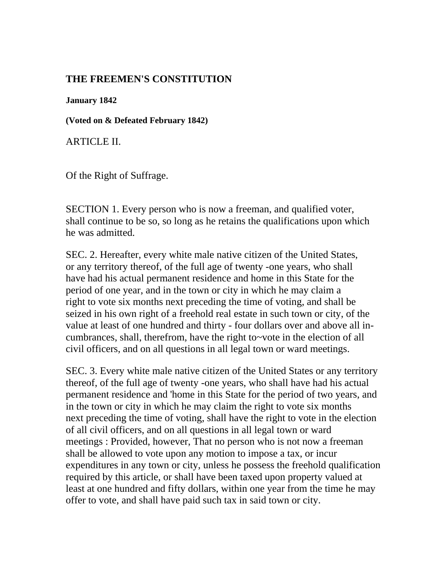#### **THE FREEMEN'S CONSTITUTION**

**January 1842** 

**(Voted on & Defeated February 1842)**

ARTICLE II.

Of the Right of Suffrage.

SECTION 1. Every person who is now a freeman, and qualified voter, shall continue to be so, so long as he retains the qualifications upon which he was admitted.

SEC. 2. Hereafter, every white male native citizen of the United States, or any territory thereof, of the full age of twenty -one years, who shall have had his actual permanent residence and home in this State for the period of one year, and in the town or city in which he may claim a right to vote six months next preceding the time of voting, and shall be seized in his own right of a freehold real estate in such town or city, of the value at least of one hundred and thirty - four dollars over and above all incumbrances, shall, therefrom, have the right to~vote in the election of all civil officers, and on all questions in all legal town or ward meetings.

SEC. 3. Every white male native citizen of the United States or any territory thereof, of the full age of twenty -one years, who shall have had his actual permanent residence and 'home in this State for the period of two years, and in the town or city in which he may claim the right to vote six months next preceding the time of voting, shall have the right to vote in the election of all civil officers, and on all questions in all legal town or ward meetings : Provided, however, That no person who is not now a freeman shall be allowed to vote upon any motion to impose a tax, or incur expenditures in any town or city, unless he possess the freehold qualification required by this article, or shall have been taxed upon property valued at least at one hundred and fifty dollars, within one year from the time he may offer to vote, and shall have paid such tax in said town or city.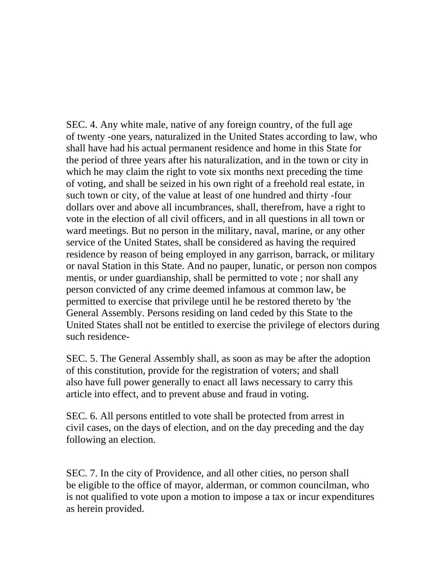SEC. 4. Any white male, native of any foreign country, of the full age of twenty -one years, naturalized in the United States according to law, who shall have had his actual permanent residence and home in this State for the period of three years after his naturalization, and in the town or city in which he may claim the right to vote six months next preceding the time of voting, and shall be seized in his own right of a freehold real estate, in such town or city, of the value at least of one hundred and thirty -four dollars over and above all incumbrances, shall, therefrom, have a right to vote in the election of all civil officers, and in all questions in all town or ward meetings. But no person in the military, naval, marine, or any other service of the United States, shall be considered as having the required residence by reason of being employed in any garrison, barrack, or military or naval Station in this State. And no pauper, lunatic, or person non compos mentis, or under guardianship, shall be permitted to vote ; nor shall any person convicted of any crime deemed infamous at common law, be permitted to exercise that privilege until he be restored thereto by 'the General Assembly. Persons residing on land ceded by this State to the United States shall not be entitled to exercise the privilege of electors during such residence-

SEC. 5. The General Assembly shall, as soon as may be after the adoption of this constitution, provide for the registration of voters; and shall also have full power generally to enact all laws necessary to carry this article into effect, and to prevent abuse and fraud in voting.

SEC. 6. All persons entitled to vote shall be protected from arrest in civil cases, on the days of election, and on the day preceding and the day following an election.

SEC. 7. In the city of Providence, and all other cities, no person shall be eligible to the office of mayor, alderman, or common councilman, who is not qualified to vote upon a motion to impose a tax or incur expenditures as herein provided.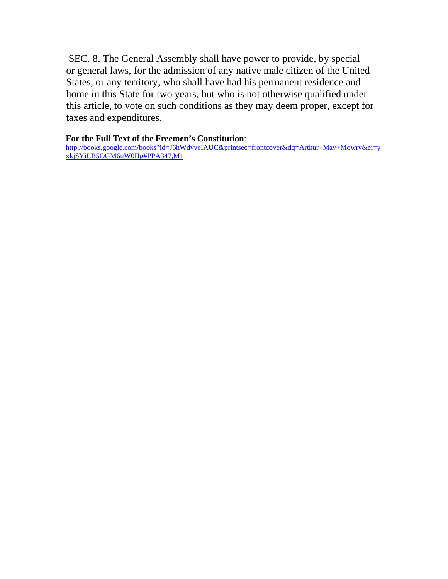SEC. 8. The General Assembly shall have power to provide, by special or general laws, for the admission of any native male citizen of the United States, or any territory, who shall have had his permanent residence and home in this State for two years, but who is not otherwise qualified under this article, to vote on such conditions as they may deem proper, except for taxes and expenditures.

#### **For the Full Text of the Freemen's Constitution**:

[http://books.google.com/books?id=J6hWdyveIAUC&printsec=frontcover&dq=Arthur+May+Mowry&ei=y](http://books.google.com/books?id=J6hWdyveIAUC&printsec=frontcover&dq=Arthur+May+Mowry&ei=yxkjSYiLB5OGM6uW0Hg#PPA347,M1) [xkjSYiLB5OGM6uW0Hg#PPA347,M1](http://books.google.com/books?id=J6hWdyveIAUC&printsec=frontcover&dq=Arthur+May+Mowry&ei=yxkjSYiLB5OGM6uW0Hg#PPA347,M1)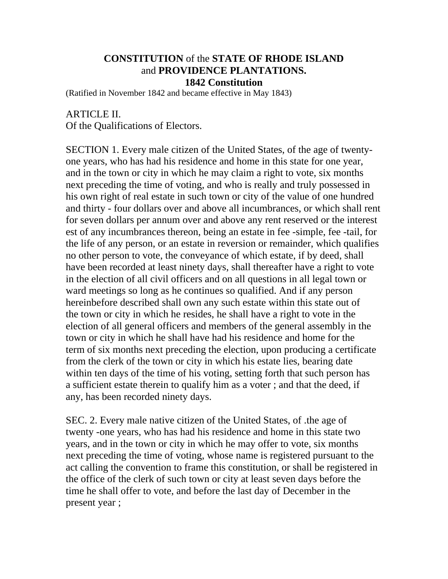#### **CONSTITUTION** of the **STATE OF RHODE ISLAND**  and **PROVIDENCE PLANTATIONS. 1842 Constitution**

(Ratified in November 1842 and became effective in May 1843)

ARTICLE II. Of the Qualifications of Electors.

SECTION 1. Every male citizen of the United States, of the age of twentyone years, who has had his residence and home in this state for one year, and in the town or city in which he may claim a right to vote, six months next preceding the time of voting, and who is really and truly possessed in his own right of real estate in such town or city of the value of one hundred and thirty - four dollars over and above all incumbrances, or which shall rent for seven dollars per annum over and above any rent reserved or the interest est of any incumbrances thereon, being an estate in fee -simple, fee -tail, for the life of any person, or an estate in reversion or remainder, which qualifies no other person to vote, the conveyance of which estate, if by deed, shall have been recorded at least ninety days, shall thereafter have a right to vote in the election of all civil officers and on all questions in all legal town or ward meetings so long as he continues so qualified. And if any person hereinbefore described shall own any such estate within this state out of the town or city in which he resides, he shall have a right to vote in the election of all general officers and members of the general assembly in the town or city in which he shall have had his residence and home for the term of six months next preceding the election, upon producing a certificate from the clerk of the town or city in which his estate lies, bearing date within ten days of the time of his voting, setting forth that such person has a sufficient estate therein to qualify him as a voter ; and that the deed, if any, has been recorded ninety days.

SEC. 2. Every male native citizen of the United States, of .the age of twenty -one years, who has had his residence and home in this state two years, and in the town or city in which he may offer to vote, six months next preceding the time of voting, whose name is registered pursuant to the act calling the convention to frame this constitution, or shall be registered in the office of the clerk of such town or city at least seven days before the time he shall offer to vote, and before the last day of December in the present year ;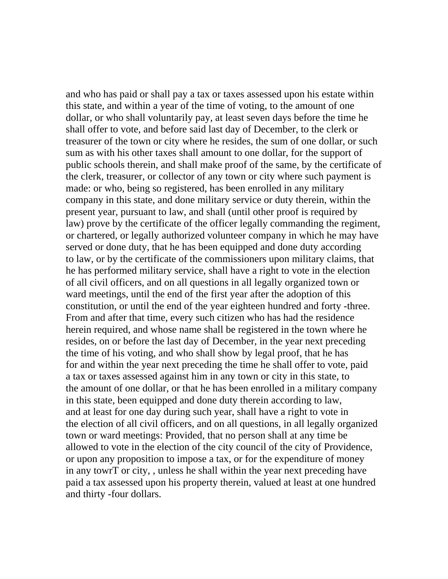and who has paid or shall pay a tax or taxes assessed upon his estate within this state, and within a year of the time of voting, to the amount of one dollar, or who shall voluntarily pay, at least seven days before the time he shall offer to vote, and before said last day of December, to the clerk or treasurer of the town or city where he resides, the sum of one dollar, or such sum as with his other taxes shall amount to one dollar, for the support of public schools therein, and shall make proof of the same, by the certificate of the clerk, treasurer, or collector of any town or city where such payment is made: or who, being so registered, has been enrolled in any military company in this state, and done military service or duty therein, within the present year, pursuant to law, and shall (until other proof is required by law) prove by the certificate of the officer legally commanding the regiment, or chartered, or legally authorized volunteer company in which he may have served or done duty, that he has been equipped and done duty according to law, or by the certificate of the commissioners upon military claims, that he has performed military service, shall have a right to vote in the election of all civil officers, and on all questions in all legally organized town or ward meetings, until the end of the first year after the adoption of this constitution, or until the end of the year eighteen hundred and forty -three. From and after that time, every such citizen who has had the residence herein required, and whose name shall be registered in the town where he resides, on or before the last day of December, in the year next preceding the time of his voting, and who shall show by legal proof, that he has for and within the year next preceding the time he shall offer to vote, paid a tax or taxes assessed against him in any town or city in this state, to the amount of one dollar, or that he has been enrolled in a military company in this state, been equipped and done duty therein according to law, and at least for one day during such year, shall have a right to vote in the election of all civil officers, and on all questions, in all legally organized town or ward meetings: Provided, that no person shall at any time be allowed to vote in the election of the city council of the city of Providence, or upon any proposition to impose a tax, or for the expenditure of money in any towrT or city, , unless he shall within the year next preceding have paid a tax assessed upon his property therein, valued at least at one hundred and thirty -four dollars.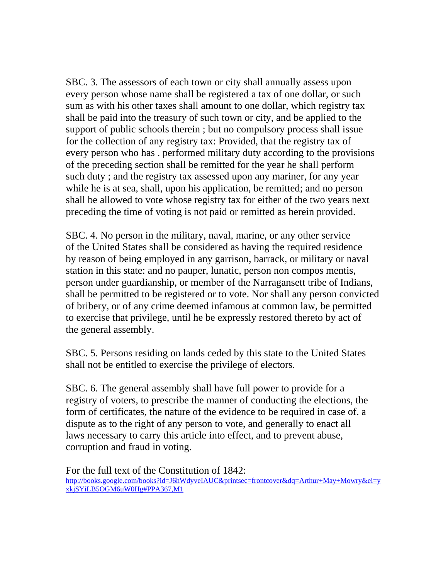SBC. 3. The assessors of each town or city shall annually assess upon every person whose name shall be registered a tax of one dollar, or such sum as with his other taxes shall amount to one dollar, which registry tax shall be paid into the treasury of such town or city, and be applied to the support of public schools therein ; but no compulsory process shall issue for the collection of any registry tax: Provided, that the registry tax of every person who has . performed military duty according to the provisions of the preceding section shall be remitted for the year he shall perform such duty ; and the registry tax assessed upon any mariner, for any year while he is at sea, shall, upon his application, be remitted; and no person shall be allowed to vote whose registry tax for either of the two years next preceding the time of voting is not paid or remitted as herein provided.

SBC. 4. No person in the military, naval, marine, or any other service of the United States shall be considered as having the required residence by reason of being employed in any garrison, barrack, or military or naval station in this state: and no pauper, lunatic, person non compos mentis, person under guardianship, or member of the Narragansett tribe of Indians, shall be permitted to be registered or to vote. Nor shall any person convicted of bribery, or of any crime deemed infamous at common law, be permitted to exercise that privilege, until he be expressly restored thereto by act of the general assembly.

SBC. 5. Persons residing on lands ceded by this state to the United States shall not be entitled to exercise the privilege of electors.

SBC. 6. The general assembly shall have full power to provide for a registry of voters, to prescribe the manner of conducting the elections, the form of certificates, the nature of the evidence to be required in case of. a dispute as to the right of any person to vote, and generally to enact all laws necessary to carry this article into effect, and to prevent abuse, corruption and fraud in voting.

For the full text of the Constitution of 1842: [http://books.google.com/books?id=J6hWdyveIAUC&printsec=frontcover&dq=Arthur+May+Mowry&ei=y](http://books.google.com/books?id=J6hWdyveIAUC&printsec=frontcover&dq=Arthur+May+Mowry&ei=yxkjSYiLB5OGM6uW0Hg#PPA367,M1) [xkjSYiLB5OGM6uW0Hg#PPA367,M1](http://books.google.com/books?id=J6hWdyveIAUC&printsec=frontcover&dq=Arthur+May+Mowry&ei=yxkjSYiLB5OGM6uW0Hg#PPA367,M1)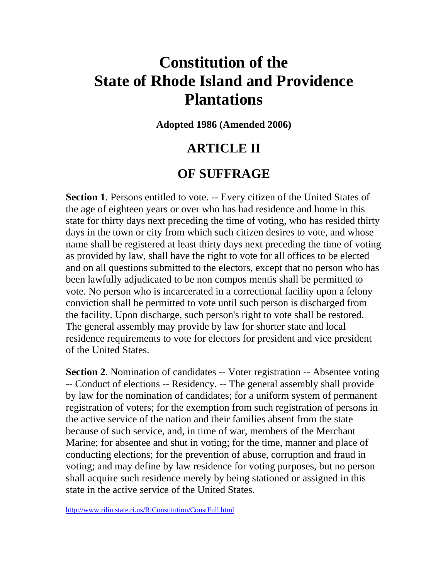## **Constitution of the State of Rhode Island and Providence Plantations**

**Adopted 1986 (Amended 2006)**

### **ARTICLE II**

### **OF SUFFRAGE**

**Section 1**. Persons entitled to vote. -- Every citizen of the United States of the age of eighteen years or over who has had residence and home in this state for thirty days next preceding the time of voting, who has resided thirty days in the town or city from which such citizen desires to vote, and whose name shall be registered at least thirty days next preceding the time of voting as provided by law, shall have the right to vote for all offices to be elected and on all questions submitted to the electors, except that no person who has been lawfully adjudicated to be non compos mentis shall be permitted to vote. No person who is incarcerated in a correctional facility upon a felony conviction shall be permitted to vote until such person is discharged from the facility. Upon discharge, such person's right to vote shall be restored. The general assembly may provide by law for shorter state and local residence requirements to vote for electors for president and vice president of the United States.

**Section 2**. Nomination of candidates -- Voter registration -- Absentee voting -- Conduct of elections -- Residency. -- The general assembly shall provide by law for the nomination of candidates; for a uniform system of permanent registration of voters; for the exemption from such registration of persons in the active service of the nation and their families absent from the state because of such service, and, in time of war, members of the Merchant Marine; for absentee and shut in voting; for the time, manner and place of conducting elections; for the prevention of abuse, corruption and fraud in voting; and may define by law residence for voting purposes, but no person shall acquire such residence merely by being stationed or assigned in this state in the active service of the United States.

<http://www.rilin.state.ri.us/RiConstitution/ConstFull.html>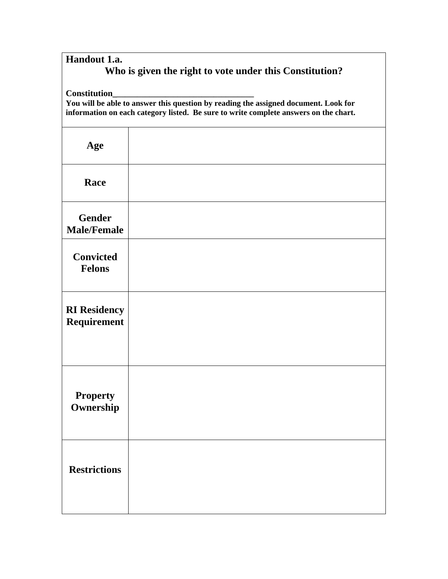| Handout 1.a.                                            |  |
|---------------------------------------------------------|--|
| Who is given the right to vote under this Constitution? |  |

**Constitution\_\_\_\_\_\_\_\_\_\_\_\_\_\_\_\_\_\_\_\_\_\_\_\_\_\_\_\_\_\_\_\_\_\_\_** 

**You will be able to answer this question by reading the assigned document. Look for information on each category listed. Be sure to write complete answers on the chart.** 

| Age                                 |  |
|-------------------------------------|--|
| Race                                |  |
| <b>Gender</b><br><b>Male/Female</b> |  |
| <b>Convicted</b><br><b>Felons</b>   |  |
| <b>RI</b> Residency<br>Requirement  |  |
| <b>Property</b><br>Ownership        |  |
| <b>Restrictions</b>                 |  |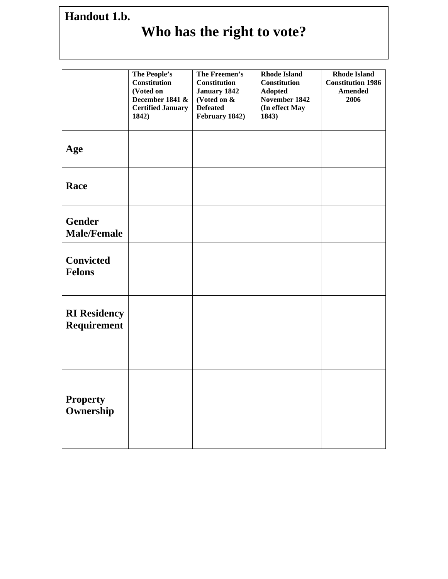## **Handout 1.b.**

# **Who has the right to vote?**

|                                     | The People's<br><b>Constitution</b><br>(Voted on<br>December 1841 &<br><b>Certified January</b><br>1842) | The Freemen's<br><b>Constitution</b><br>January 1842<br>(Voted on &<br><b>Defeated</b><br>February 1842) | <b>Rhode Island</b><br>Constitution<br><b>Adopted</b><br>November 1842<br>(In effect May<br>1843) | <b>Rhode Island</b><br><b>Constitution 1986</b><br><b>Amended</b><br>2006 |
|-------------------------------------|----------------------------------------------------------------------------------------------------------|----------------------------------------------------------------------------------------------------------|---------------------------------------------------------------------------------------------------|---------------------------------------------------------------------------|
| Age                                 |                                                                                                          |                                                                                                          |                                                                                                   |                                                                           |
| Race                                |                                                                                                          |                                                                                                          |                                                                                                   |                                                                           |
| <b>Gender</b><br><b>Male/Female</b> |                                                                                                          |                                                                                                          |                                                                                                   |                                                                           |
| <b>Convicted</b><br><b>Felons</b>   |                                                                                                          |                                                                                                          |                                                                                                   |                                                                           |
| <b>RI Residency</b><br>Requirement  |                                                                                                          |                                                                                                          |                                                                                                   |                                                                           |
| <b>Property</b><br>Ownership        |                                                                                                          |                                                                                                          |                                                                                                   |                                                                           |